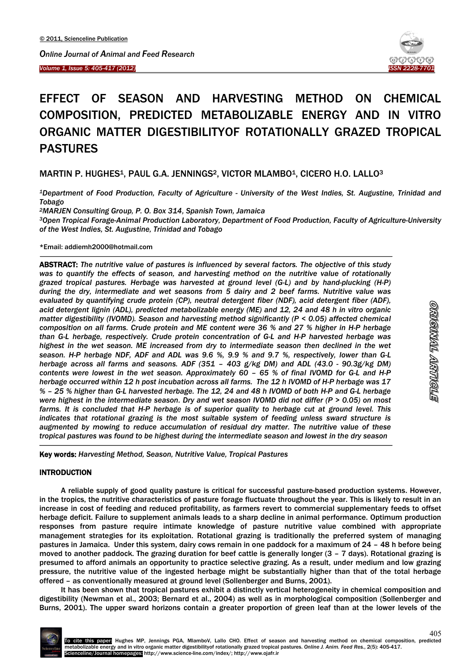*Volume 1, Issue 5: 405-417 (2012)* ISSN 2228-7701 **ISSN 2228-7701** *ISSN 2228-7701* 



# EFFECT OF SEASON AND HARVESTING METHOD ON CHEMICAL COMPOSITION, PREDICTED METABOLIZABLE ENERGY AND IN VITRO ORGANIC MATTER DIGESTIBILITYOF ROTATIONALLY GRAZED TROPICAL PASTURES

MARTIN P. HUGHES1, PAUL G.A. JENNINGS2, VICTOR MLAMBO1, CICERO H.O. LALLO3

*1Department of Food Production, Faculty of Agriculture - University of the West Indies, St. Augustine, Trinidad and Tobago*

*2MARJEN Consulting Group, P. O. Box 314, Spanish Town, Jamaica*

*3Open Tropical Forage-Animal Production Laboratory, Department of Food Production, Faculty of Agriculture-University of the West Indies, St. Augustine, Trinidad and Tobago*

\*Email: addiemh2000@hotmail.com

ABSTRACT: *The nutritive value of pastures is influenced by several factors. The objective of this study was to quantify the effects of season, and harvesting method on the nutritive value of rotationally grazed tropical pastures. Herbage was harvested at ground level (G-L) and by hand-plucking (H-P) during the dry, intermediate and wet seasons from 5 dairy and 2 beef farms. Nutritive value was evaluated by quantifying crude protein (CP), neutral detergent fiber (NDF), acid detergent fiber (ADF), acid detergent lignin (ADL), predicted metabolizable energy (ME) and 12, 24 and 48 h in vitro organic matter digestibility (IVOMD). Season and harvesting method significantly (P < 0.05) affected chemical composition on all farms. Crude protein and ME content were 36 % and 27 % higher in H-P herbage than G-L herbage, respectively. Crude protein concentration of G-L and H-P harvested herbage was*  highest in the wet season. ME increased from dry to intermediate season then declined in the wet *season. H-P herbage NDF, ADF and ADL was 9.6 %, 9.9 % and 9.7 %, respectively, lower than G-L herbage across all farms and seasons. ADF (351 – 403 g/kg DM) and ADL (43.0 - 90.3g/kg DM) contents were lowest in the wet season. Approximately 60 – 65 % of final IVOMD for G-L and H-P herbage occurred within 12 h post incubation across all farms. The 12 h IVOMD of H-P herbage was 17 % – 25 % higher than G-L harvested herbage. The 12, 24 and 48 h IVOMD of both H-P and G-L herbage were highest in the intermediate season. Dry and wet season IVOMD did not differ (P > 0.05) on most farms. It is concluded that H-P herbage is of superior quality to herbage cut at ground level. This indicates that rotational grazing is the most suitable system of feeding unless sward structure is augmented by mowing to reduce accumulation of residual dry matter. The nutritive value of these tropical pastures was found to be highest during the intermediate season and lowest in the dry season*

Key words: *Harvesting Method, Season, Nutritive Value, Tropical Pastures*

# **INTRODUCTION**

A reliable supply of good quality pasture is critical for successful pasture-based production systems. However, in the tropics, the nutritive characteristics of pasture forage fluctuate throughout the year. This is likely to result in an increase in cost of feeding and reduced profitability, as farmers revert to commercial supplementary feeds to offset herbage deficit. Failure to supplement animals leads to a sharp decline in animal performance. Optimum production responses from pasture require intimate knowledge of pasture nutritive value combined with appropriate management strategies for its exploitation. Rotational grazing is traditionally the preferred system of managing pastures in Jamaica. Under this system, dairy cows remain in one paddock for a maximum of 24 – 48 h before being moved to another paddock. The grazing duration for beef cattle is generally longer (3 – 7 days). Rotational grazing is presumed to afford animals an opportunity to practice selective grazing. As a result, under medium and low grazing pressure, the nutritive value of the ingested herbage might be substantially higher than that of the total herbage offered – as conventionally measured at ground level (Sollenberger and Burns, 2001).

It has been shown that tropical pastures exhibit a distinctly vertical heterogeneity in chemical composition and digestibility (Newman et al., 2003; Bernard et al., 2004) as well as in morphological composition (Sollenberger and Burns, 2001). The upper sward horizons contain a greater proportion of green leaf than at the lower levels of the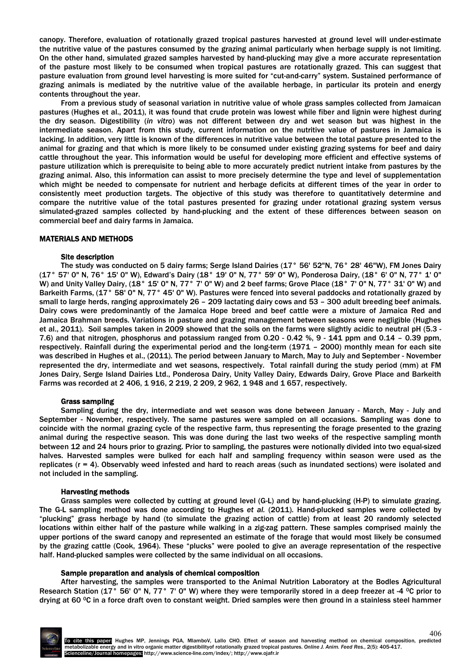canopy. Therefore, evaluation of rotationally grazed tropical pastures harvested at ground level will under-estimate the nutritive value of the pastures consumed by the grazing animal particularly when herbage supply is not limiting. On the other hand, simulated grazed samples harvested by hand-plucking may give a more accurate representation of the pasture most likely to be consumed when tropical pastures are rotationally grazed. This can suggest that pasture evaluation from ground level harvesting is more suited for "cut-and-carry" system. Sustained performance of grazing animals is mediated by the nutritive value of the available herbage, in particular its protein and energy contents throughout the year.

From a previous study of seasonal variation in nutritive value of whole grass samples collected from Jamaican pastures (Hughes et al., 2011), it was found that crude protein was lowest while fiber and lignin were highest during the dry season. Digestibility (*in vitro*) was not different between dry and wet season but was highest in the intermediate season. Apart from this study, current information on the nutritive value of pastures in Jamaica is lacking. In addition, very little is known of the differences in nutritive value between the total pasture presented to the animal for grazing and that which is more likely to be consumed under existing grazing systems for beef and dairy cattle throughout the year. This information would be useful for developing more efficient and effective systems of pasture utilization which is prerequisite to being able to more accurately predict nutrient intake from pastures by the grazing animal. Also, this information can assist to more precisely determine the type and level of supplementation which might be needed to compensate for nutrient and herbage deficits at different times of the year in order to consistently meet production targets. The objective of this study was therefore to quantitatively determine and compare the nutritive value of the total pastures presented for grazing under rotational grazing system versus simulated-grazed samples collected by hand-plucking and the extent of these differences between season on commercial beef and dairy farms in Jamaica.

## MATERIALS AND METHODS

## Site description

The study was conducted on 5 dairy farms; Serge Island Dairies (17° 56' 52"N, 76° 28' 46"W), FM Jones Dairy (17° 57' 0" N, 76° 15' 0" W), Edward's Dairy (18° 19' 0" N, 77° 59' 0" W), Ponderosa Dairy, (18° 6' 0" N, 77° 1' 0" W) and Unity Valley Dairy, (18° 15' 0" N, 77° 7' 0" W) and 2 beef farms; Grove Place (18° 7' 0" N, 77° 31' 0" W) and Barkeith Farms, (17° 58' 0" N, 77° 45' 0" W). Pastures were fenced into several paddocks and rotationally grazed by small to large herds, ranging approximately 26 – 209 lactating dairy cows and 53 – 300 adult breeding beef animals. Dairy cows were predominantly of the Jamaica Hope breed and beef cattle were a mixture of Jamaica Red and Jamaica Brahman breeds. Variations in pasture and grazing management between seasons were negligible (Hughes et al., 2011). Soil samples taken in 2009 showed that the soils on the farms were slightly acidic to neutral pH (5.3 - 7.6) and that nitrogen, phosphorus and potassium ranged from 0.20 - 0.42 %, 9 - 141 ppm and 0.14 – 0.39 ppm, respectively. Rainfall during the experimental period and the long-term (1971 – 2000) monthly mean for each site was described in Hughes et al., (2011). The period between January to March, May to July and September - November represented the dry, intermediate and wet seasons, respectively. Total rainfall during the study period (mm) at FM Jones Dairy, Serge Island Dairies Ltd., Ponderosa Dairy, Unity Valley Dairy, Edwards Dairy, Grove Place and Barkeith Farms was recorded at 2 406, 1 916, 2 219, 2 209, 2 962, 1 948 and 1 657, respectively.

## Grass sampling

Sampling during the dry, intermediate and wet season was done between January - March, May - July and September - November, respectively. The same pastures were sampled on all occasions. Sampling was done to coincide with the normal grazing cycle of the respective farm, thus representing the forage presented to the grazing animal during the respective season. This was done during the last two weeks of the respective sampling month between 12 and 24 hours prior to grazing. Prior to sampling, the pastures were notionally divided into two equal-sized halves. Harvested samples were bulked for each half and sampling frequency within season were used as the replicates  $(r = 4)$ . Observably weed infested and hard to reach areas (such as inundated sections) were isolated and not included in the sampling.

## Harvesting methods

Grass samples were collected by cutting at ground level (G-L) and by hand-plucking (H-P) to simulate grazing. The G-L sampling method was done according to Hughes *et al.* (2011). Hand-plucked samples were collected by "plucking" grass herbage by hand (to simulate the grazing action of cattle) from at least 20 randomly selected locations within either half of the pasture while walking in a zig-zag pattern. These samples comprised mainly the upper portions of the sward canopy and represented an estimate of the forage that would most likely be consumed by the grazing cattle (Cook, 1964). These "plucks" were pooled to give an average representation of the respective half. Hand-plucked samples were collected by the same individual on all occasions.

#### Sample preparation and analysis of chemical composition

After harvesting, the samples were transported to the Animal Nutrition Laboratory at the Bodles Agricultural Research Station (17° 56' 0" N, 77° 7' 0" W) where they were temporarily stored in a deep freezer at -4 °C prior to drying at 60 °C in a force draft oven to constant weight. Dried samples were then ground in a stainless steel hammer

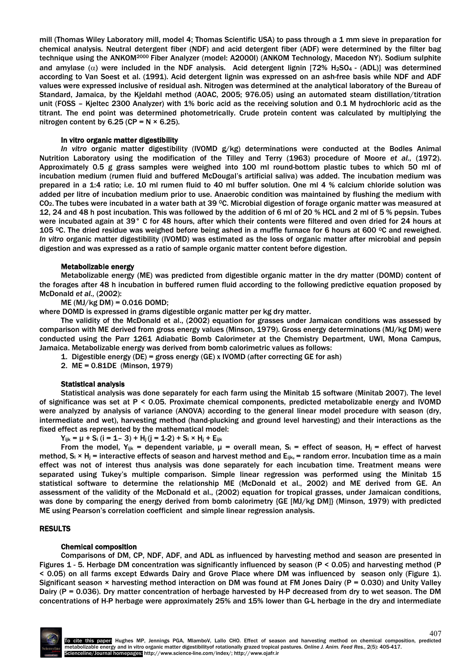mill (Thomas Wiley Laboratory mill, model 4; Thomas Scientific USA) to pass through a 1 mm sieve in preparation for chemical analysis. Neutral detergent fiber (NDF) and acid detergent fiber (ADF) were determined by the filter bag technique using the ANKOM2000 Fiber Analyzer (model: A2000I) (ANKOM Technology, Macedon NY). Sodium sulphite and amylase ( $\alpha$ ) were included in the NDF analysis. Acid detergent lignin [72% H<sub>2</sub>SO<sub>4</sub> - (ADL)] was determined according to Van Soest et al. (1991). Acid detergent lignin was expressed on an ash-free basis while NDF and ADF values were expressed inclusive of residual ash. Nitrogen was determined at the analytical laboratory of the Bureau of Standard, Jamaica, by the Kjeldahl method (AOAC, 2005; 976.05) using an automated steam distillation/titration unit (FOSS – Kjeltec 2300 Analyzer) with 1% boric acid as the receiving solution and 0.1 M hydrochloric acid as the titrant. The end point was determined photometrically. Crude protein content was calculated by multiplying the nitrogen content by  $6.25$  (CP = N  $\times$  6.25).

## In vitro organic matter digestibility

*In vitro* organic matter digestibility (IVOMD g/kg) determinations were conducted at the Bodles Animal Nutrition Laboratory using the modification of the Tilley and Terry (1963) procedure of Moore *et al.,* (1972). Approximately 0.5 g grass samples were weighed into 100 ml round-bottom plastic tubes to which 50 ml of incubation medium (rumen fluid and buffered McDougal's artificial saliva) was added. The incubation medium was prepared in a 1:4 ratio; i.e. 10 ml rumen fluid to 40 ml buffer solution. One ml 4 % calcium chloride solution was added per litre of incubation medium prior to use. Anaerobic condition was maintained by flushing the medium with CO2. The tubes were incubated in a water bath at 39 0C. Microbial digestion of forage organic matter was measured at 12, 24 and 48 h post incubation. This was followed by the addition of 6 ml of 20 % HCL and 2 ml of 5 % pepsin. Tubes were incubated again at 39° C for 48 hours, after which their contents were filtered and oven dried for 24 hours at 105  $^{\circ}$ C. The dried residue was weighed before being ashed in a muffle furnace for 6 hours at 600  $^{\circ}$ C and reweighed. *In vitro* organic matter digestibility (IVOMD) was estimated as the loss of organic matter after microbial and pepsin digestion and was expressed as a ratio of sample organic matter content before digestion.

## Metabolizable energy

Metabolizable energy (ME) was predicted from digestible organic matter in the dry matter (DOMD) content of the forages after 48 h incubation in buffered rumen fluid according to the following predictive equation proposed by McDonald *et al.,* (2002):

 $ME (MJ/kg DM) = 0.016 DOMD;$ 

where DOMD is expressed in grams digestible organic matter per kg dry matter.

The validity of the McDonald et al., (2002) equation for grasses under Jamaican conditions was assessed by comparison with ME derived from gross energy values (Minson, 1979). Gross energy determinations (MJ/kg DM) were conducted using the Parr 1261 Adiabatic Bomb Calorimeter at the Chemistry Department, UWI, Mona Campus, Jamaica. Metabolizable energy was derived from bomb calorimetric values as follows:

1. Digestible energy (DE) = gross energy (GE) x IVOMD (after correcting GE for ash)

2. ME = 0.81DE (Minson, 1979)

#### Statistical analysis

Statistical analysis was done separately for each farm using the Minitab 15 software (Minitab 2007). The level of significance was set at P < 0.05. Proximate chemical components, predicted metabolizable energy and IVOMD were analyzed by analysis of variance (ANOVA) according to the general linear model procedure with season (dry, intermediate and wet), harvesting method (hand-plucking and ground level harvesting) and their interactions as the fixed effect as represented by the mathematical model:

 $Y_{ijk} = \mu + S_i$  (i = 1- 3) + H<sub>j</sub> (j = 1-2) + S<sub>i</sub> × H<sub>j</sub> + E<sub>ijk</sub>

From the model, Y<sub>ijk</sub> = dependent variable,  $\mu$  = overall mean, S<sub>i</sub> = effect of season, H<sub>j</sub> = effect of harvest method,  $S_i \times H_i$  = interactive effects of season and harvest method and E<sub>ijk</sub>, = random error. Incubation time as a main effect was not of interest thus analysis was done separately for each incubation time. Treatment means were separated using Tukey's multiple comparison. Simple linear regression was performed using the Minitab 15 statistical software to determine the relationship ME (McDonald et al., 2002) and ME derived from GE. An assessment of the validity of the McDonald et al., (2002) equation for tropical grasses, under Jamaican conditions, was done by comparing the energy derived from bomb calorimetry {GE [MJ/kg DM]} (Minson, 1979) with predicted ME using Pearson's correlation coefficient and simple linear regression analysis.

# RESULTS

#### Chemical composition

Comparisons of DM, CP, NDF, ADF, and ADL as influenced by harvesting method and season are presented in Figures 1 - 5. Herbage DM concentration was significantly influenced by season (P < 0.05) and harvesting method (P < 0.05) on all farms except Edwards Dairy and Grove Place where DM was influenced by season only (Figure 1). Significant season × harvesting method interaction on DM was found at FM Jones Dairy (P = 0.030) and Unity Valley Dairy (P = 0.036). Dry matter concentration of herbage harvested by H-P decreased from dry to wet season. The DM concentrations of H-P herbage were approximately 25% and 15% lower than G-L herbage in the dry and intermediate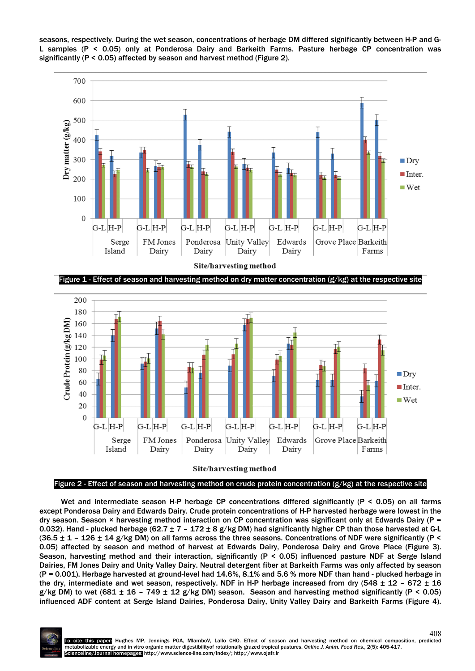

seasons, respectively. During the wet season, concentrations of herbage DM differed significantly between H-P and G-L samples (P < 0.05) only at Ponderosa Dairy and Barkeith Farms. Pasture herbage CP concentration was significantly (P < 0.05) affected by season and harvest method (Figure 2).

Figure 1 - Effect of season and harvesting method on dry matter concentration (g/kg) at the respective site



## Figure 2 - Effect of season and harvesting method on crude protein concentration (g/kg) at the respective site

Wet and intermediate season H-P herbage CP concentrations differed significantly (P < 0.05) on all farms except Ponderosa Dairy and Edwards Dairy. Crude protein concentrations of H-P harvested herbage were lowest in the dry season. Season  $\times$  harvesting method interaction on CP concentration was significant only at Edwards Dairy (P = 0.032). Hand - plucked herbage (62.7  $\pm$  7 - 172  $\pm$  8 g/kg DM) had significantly higher CP than those harvested at G-L  $(36.5 \pm 1 - 126 \pm 14$  g/kg DM) on all farms across the three seasons. Concentrations of NDF were significantly (P < 0.05) affected by season and method of harvest at Edwards Dairy, Ponderosa Dairy and Grove Place (Figure 3). Season, harvesting method and their interaction, significantly (P < 0.05) influenced pasture NDF at Serge Island Dairies, FM Jones Dairy and Unity Valley Dairy. Neutral detergent fiber at Barkeith Farms was only affected by season (P = 0.001). Herbage harvested at ground-level had 14.6%, 8.1% and 5.6 % more NDF than hand - plucked herbage in the dry, intermediate and wet season, respectively. NDF in H-P herbage increased from dry (548  $\pm$  12 – 672  $\pm$  16 g/kg DM) to wet (681  $\pm$  16 - 749  $\pm$  12 g/kg DM) season. Season and harvesting method significantly (P < 0.05) influenced ADF content at Serge Island Dairies, Ponderosa Dairy, Unity Valley Dairy and Barkeith Farms (Figure 4).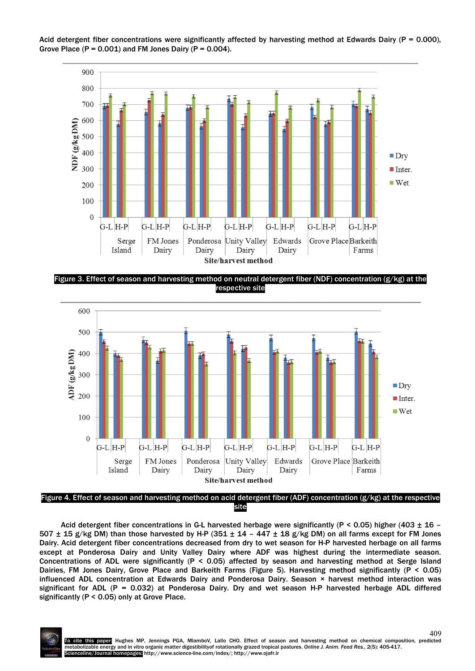

Acid detergent fiber concentrations were significantly affected by harvesting method at Edwards Dairy ( $P = 0.000$ ), Grove Place  $(P = 0.001)$  and FM Jones Dairy  $(P = 0.004)$ .

Figure 3. Effect of season and harvesting method on neutral detergent fiber (NDF) concentration respective site



Figure 4. Effect of season and harvesting method on acid detergent fiber (ADF) concentration (g/kg) at the respective site

Acid detergent fiber concentrations in G-L harvested herbage were significantly (P < 0.05) higher (403  $\pm$  16 – 507  $\pm$  15 g/kg DM) than those harvested by H-P (351  $\pm$  14 - 447  $\pm$  18 g/kg DM) on all farms except for FM Jones Dairy. Acid detergent fiber concentrations decreased from dry to wet season for H-P harvested herbage on all farms except at Ponderosa Dairy and Unity Valley Dairy where ADF was highest during the intermediate season. Concentrations of ADL were significantly (P < 0.05) affected by season and harvesting method at Serge Island Dairies, FM Jones Dairy, Grove Place and Barkeith Farms (Figure 5). Harvesting method significantly (P < 0.05) influenced ADL concentration at Edwards Dairy and Ponderosa Dairy. Season × harvest method interaction was significant for ADL (P = 0.032) at Ponderosa Dairy. Dry and wet season H-P harvested herbage ADL differed significantly (P < 0.05) only at Grove Place.

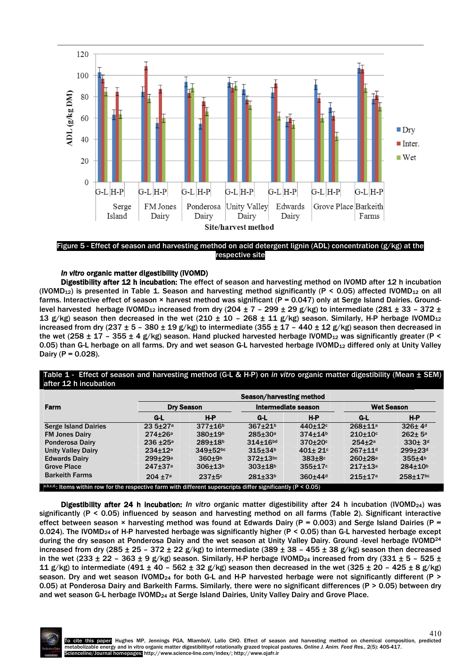

Figure 5 - Effect of season and harvesting method on acid detergent lignin (ADL) concentration (g/kg) at the respective site

# *In vitro* organic matter digestibility (IVOMD)

Digestibility after 12 h incubation: The effect of season and harvesting method on IVOMD after 12 h incubation (IVOMD<sub>12</sub>) is presented in Table 1. Season and harvesting method significantly (P < 0.05) affected IVOMD<sub>12</sub> on all farms. Interactive effect of season  $\times$  harvest method was significant (P = 0.047) only at Serge Island Dairies. Groundlevel harvested herbage IVOMD<sub>12</sub> increased from dry (204  $\pm$  7 - 299  $\pm$  29 g/kg) to intermediate (281  $\pm$  33 - 372  $\pm$ 13 g/kg) season then decreased in the wet (210  $\pm$  10 - 268  $\pm$  11 g/kg) season. Similarly, H-P herbage IVOMD<sub>12</sub> increased from dry (237  $\pm$  5 - 380  $\pm$  19 g/kg) to intermediate (355  $\pm$  17 - 440  $\pm$  12 g/kg) season then decreased in the wet (258  $\pm$  17 – 355  $\pm$  4 g/kg) season. Hand plucked harvested herbage IVOMD<sub>12</sub> was significantly greater (P < 0.05) than G-L herbage on all farms. Dry and wet season G-L harvested herbage IVOMD<sub>12</sub> differed only at Unity Valley Dairy ( $P = 0.028$ ).

# Table 1 - Effect of season and harvesting method (G-L & H-P) on *in vitro* organic matter digestibility (Mean ± SEM) after 12 h incubation

| <b>Farm</b>                                                                                                        | Season/harvesting method |                          |                           |                     |                         |                          |
|--------------------------------------------------------------------------------------------------------------------|--------------------------|--------------------------|---------------------------|---------------------|-------------------------|--------------------------|
|                                                                                                                    | <b>Dry Season</b>        |                          | Intermediate season       |                     | <b>Wet Season</b>       |                          |
|                                                                                                                    | G-L                      | H-P                      | G-L                       | $H-P$               | G-L                     | $H-P$                    |
| <b>Serge Island Dairies</b>                                                                                        | $23.5 \pm 27a$           | $377 + 16b$              | $367 + 21b$               | $440 \pm 12$        | $268 + 11a$             | $326 \pm 4$ <sup>d</sup> |
| <b>FM Jones Dairy</b>                                                                                              | $274 + 26a$              | $380 + 19b$              | $285 + 30a$               | $374 \pm 14^{b}$    | $210+10$ c              | $262 \pm 5^{\circ}$      |
| Ponderosa Dairy                                                                                                    | $236 + 25a$              | $289 + 18b$              | $314 + 16$ <sub>bd</sub>  | $370 + 20$          | $254 + 2a$              | $330 + 3d$               |
| <b>Unity Valley Dairy</b>                                                                                          | $234 + 12a$              | $349 + 52$ <sub>bc</sub> | $315 + 34b$               | $401 + 21$          | $267 + 11$ <sup>d</sup> | 299±23d                  |
| <b>Edwards Dairy</b>                                                                                               | 299±29a                  | $360 + 9b$               | $372 + 13$ <sub>bc</sub>  | $383 \pm 8$         | $260 + 28a$             | 355±4 <sup>b</sup>       |
| <b>Grove Place</b>                                                                                                 | $247 + 37a$              | $306 + 13b$              | $303 + 18^{b}$            | $355 \pm 17$ c      | $217 + 13a$             | $284 + 10^{b}$           |
| <b>Barkeith Farms</b>                                                                                              | $204 + 7a$               | $237 + 5c$               | $281 \pm 33$ <sup>b</sup> | 360±44 <sup>d</sup> | $215 + 17a$             | $258 + 17$ bc            |
| a,b,c,d.; Items within row for the respective farm with different superscripts differ significantly ( $P < 0.05$ ) |                          |                          |                           |                     |                         |                          |

Digestibility after 24 h incubation: *In vitro organic matter digestibility after 24 h incubation (IVOMD<sub>24</sub>) was* significantly (P < 0.05) influenced by season and harvesting method on all farms (Table 2). Significant interactive effect between season  $\times$  harvesting method was found at Edwards Dairy (P = 0.003) and Serge Island Dairies (P = 0.024). The IVOMD24 of H-P harvested herbage was significantly higher (P < 0.05) than G-L harvested herbage except during the dry season at Ponderosa Dairy and the wet season at Unity Valley Dairy. Ground -level herbage IVOMD24 increased from dry (285  $\pm$  25 - 372  $\pm$  22 g/kg) to intermediate (389  $\pm$  38 - 455  $\pm$  38 g/kg) season then decreased in the wet (233  $\pm$  22 – 363  $\pm$  9 g/kg) season. Similarly, H-P herbage IVOMD<sub>24</sub> increased from dry (331  $\pm$  5 – 525  $\pm$ 11 g/kg) to intermediate (491  $\pm$  40 – 562  $\pm$  32 g/kg) season then decreased in the wet (325  $\pm$  20 – 425  $\pm$  8 g/kg) season. Dry and wet season IVOMD<sub>24</sub> for both G-L and H-P harvested herbage were not significantly different (P > 0.05) at Ponderosa Dairy and Barkeith Farms. Similarly, there were no significant differences (P > 0.05) between dry and wet season G-L herbage IVOMD24 at Serge Island Dairies, Unity Valley Dairy and Grove Place.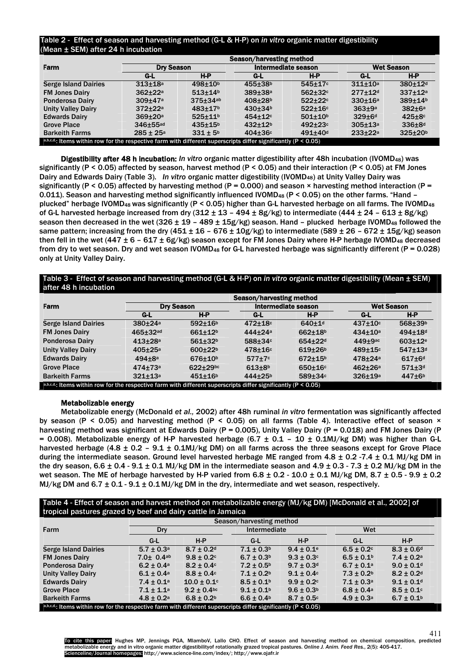# Table 2 - Effect of season and harvesting method (G-L & H-P) on *in vitro* organic matter digestibility (Mean ± SEM) after 24 h incubation

| Farm                                                                                                               | <b>Dry Season</b>    |                      | Intermediate season     |                         | <b>Wet Season</b>       |                        |  |
|--------------------------------------------------------------------------------------------------------------------|----------------------|----------------------|-------------------------|-------------------------|-------------------------|------------------------|--|
|                                                                                                                    | G-L                  | H-P                  | G-L                     | $H-P$                   | G-L                     | H-P                    |  |
| <b>Serge Island Dairies</b>                                                                                        | $313 + 18a$          | $498 + 10b$          | 455±38b                 | $545 \pm 17$ c          | $311+10a$               | $380 + 12$ d           |  |
| <b>FM Jones Dairy</b>                                                                                              | $362 + 22a$          | $513 + 14b$          | $389 + 38$ <sup>a</sup> | $562 + 32c$             | $277 + 12$ <sup>d</sup> | $337 + 12a$            |  |
| Ponderosa Dairy                                                                                                    | $309 + 47a$          | $375 + 34ab$         | $408 + 28b$             | $522 + 22c$             | $330 + 16a$             | $389 + 14b$            |  |
| <b>Unity Valley Dairy</b>                                                                                          | $372 + 22a$          | $483 \pm 17$         | $430 + 34$ <sup>b</sup> | $522 + 16c$             | $363 + 9a$              | $382 \pm 6a$           |  |
| <b>Edwards Dairy</b>                                                                                               | $369 + 20a$          | $525 + 11$           | $454 \pm 12$ c          | $501 + 10b$             | $329 \pm 6d$            | $425 \pm 8$            |  |
| <b>Grove Place</b>                                                                                                 | $346 \pm 55$ ad      | $435 \pm 15^{\circ}$ | $432 + 12b$             | $492 + 23c$             | $305 \pm 13a$           | $336\pm8$ <sup>d</sup> |  |
| <b>Barkeith Farms</b>                                                                                              | $285 \pm 25^{\circ}$ | $331 \pm 5^{b}$      | $404 \pm 36$ c          | $491 + 40$ <sup>d</sup> | $233 + 22a$             | $325 \pm 20^6$         |  |
| a,b,c,d.; Items within row for the respective farm with different superscripts differ significantly ( $P < 0.05$ ) |                      |                      |                         |                         |                         |                        |  |

Digestibility after 48 h incubation: *In vitro* organic matter digestibility after 48h incubation (IVOMD48) was significantly (P < 0.05) affected by season, harvest method (P < 0.05) and their interaction (P < 0.05) at FM Jones Dairy and Edwards Dairy (Table 3). *In vitro* organic matter digestibility (IVOMD48) at Unity Valley Dairy was significantly (P < 0.05) affected by harvesting method (P = 0.000) and season  $\times$  harvesting method interaction (P = 0.011). Season and harvesting method significantly influenced IVOMD<sub>48</sub> (P < 0.05) on the other farms. "Hand plucked" herbage IVOMD<sub>48</sub> was significantly (P < 0.05) higher than G-L harvested herbage on all farms. The IVOMD<sub>48</sub> of G-L harvested herbage increased from dry  $(312 \pm 13 - 494 \pm 8g/kg)$  to intermediate  $(444 \pm 24 - 613 \pm 8g/kg)$ season then decreased in the wet (326  $\pm$  19 - 489  $\pm$  15g/kg) season. Hand - plucked herbage IVOMD<sub>48</sub> followed the same pattern; increasing from the dry (451 ± 16 - 676 ± 10g/kg) to intermediate (589 ± 26 - 672 ± 15g/kg) season then fell in the wet (447  $\pm$  6 – 617  $\pm$  6g/kg) season except for FM Jones Dairy where H-P herbage IVOMD<sub>48</sub> decreased from dry to wet season. Dry and wet season IVOMD<sub>48</sub> for G-L harvested herbage was significantly different ( $P = 0.028$ ) only at Unity Valley Dairy.

# Table 3 - Effect of season and harvesting method (G-L & H-P) on *in vitro* organic matter digestibility (Mean ± SEM) after 48 h incubation

| Farm                                                                                                               | Season/harvesting method |                          |                     |                |                   |                           |  |
|--------------------------------------------------------------------------------------------------------------------|--------------------------|--------------------------|---------------------|----------------|-------------------|---------------------------|--|
|                                                                                                                    | <b>Dry Season</b>        |                          | Intermediate season |                | <b>Wet Season</b> |                           |  |
|                                                                                                                    | G-L                      | H-P                      | G-L                 | $H-P$          | G-L               | $H-P$                     |  |
| <b>Serge Island Dairies</b>                                                                                        | $380 + 24a$              | $592 + 16b$              | $472 + 18$          | $640 + 1d$     | $437 + 10$        | 568±39b                   |  |
| <b>FM Jones Dairy</b>                                                                                              | $465 \pm 32$ ad          | $661 + 12b$              | $444 + 24a$         | $662 + 18b$    | $434 \pm 10^a$    | $494 \pm 18$ <sup>d</sup> |  |
| <b>Ponderosa Dairy</b>                                                                                             | $413 + 28a$              | $561 + 32b$              | 588±34c             | $654 \pm 22$ d | $449 \pm 9$ ac    | $603 + 12e$               |  |
| <b>Unity Valley Dairy</b>                                                                                          | $405 + 25a$              | $600+22b$                | $478 \pm 16$ c      | $619+26b$      | $489 \pm 15$ c    | $547 + 13$ d              |  |
| <b>Edwards Dairy</b>                                                                                               | $494 + 8a$               | $676 + 10^{b}$           | $577 \pm 7$ c       | $672 + 15b$    | $478 + 24a$       | $617 + 6d$                |  |
| <b>Grove Place</b>                                                                                                 | $474 + 73a$              | $622 + 29$ <sub>bc</sub> | $613+8^{b}$         | $650 \pm 16$ c | $462 + 26a$       | $571 \pm 3d$              |  |
| <b>Barkeith Farms</b>                                                                                              | $321 + 13a$              | $451 + 16b$              | 444±25b             | $589 \pm 34$ c | $326 + 19a$       | $447\pm6b$                |  |
| a,b,c,d.; Items within row for the respective farm with different superscripts differ significantly ( $P < 0.05$ ) |                          |                          |                     |                |                   |                           |  |

## Metabolizable energy

Metabolizable energy (McDonald *et al.,* 2002) after 48h ruminal *in vitro* fermentation was significantly affected by season (P < 0.05) and harvesting method (P < 0.05) on all farms (Table 4). Interactive effect of season  $\times$ harvesting method was significant at Edwards Dairy (P = 0.005), Unity Valley Dairy (P = 0.018) and FM Jones Dairy (P = 0.008). Metabolizable energy of H-P harvested herbage (6.7  $\pm$  0.1 - 10  $\pm$  0.1MJ/kg DM) was higher than G-L harvested herbage (4.8  $\pm$  0.2 – 9.1  $\pm$  0.1MJ/kg DM) on all farms across the three seasons except for Grove Place during the intermediate season. Ground level harvested herbage ME ranged from  $4.8 \pm 0.2$  -7.4  $\pm$  0.1 MJ/kg DM in the dry season,  $6.6 \pm 0.4 - 9.1 \pm 0.1$  MJ/kg DM in the intermediate season and  $4.9 \pm 0.3 - 7.3 \pm 0.2$  MJ/kg DM in the wet season. The ME of herbage harvested by H-P varied from  $6.8 \pm 0.2$  -  $10.0 \pm 0.1$  MJ/kg DM,  $8.7 \pm 0.5$  -  $9.9 \pm 0.2$ MJ/kg DM and  $6.7 \pm 0.1 \cdot 9.1 \pm 0.1$  MJ/kg DM in the dry, intermediate and wet season, respectively.

# Table 4 - Effect of season and harvest method on metabolizable energy (MJ/kg DM) [McDonald et al., 2002] of tropical pastures grazed by beef and dairy cattle in Jamaica

|                                                                                                                    |                             | Season/harvesting method    |                            |                 |                            |                            |  |
|--------------------------------------------------------------------------------------------------------------------|-----------------------------|-----------------------------|----------------------------|-----------------|----------------------------|----------------------------|--|
| Farm                                                                                                               | Dry                         |                             |                            | Intermediate    |                            | Wet                        |  |
|                                                                                                                    | G-L                         | $H-P$                       | G-L                        | $H-P$           | $G-L$                      | $H-P$                      |  |
| <b>Serge Island Dairies</b>                                                                                        | $5.7 \pm 0.3^{\circ}$       | $8.7 \pm 0.2$ <sup>d</sup>  | $7.1 \pm 0.3^b$            | $9.4 \pm 0.1^e$ | $6.5 \pm 0.2$              | $8.3 \pm 0.6$ <sup>d</sup> |  |
| <b>FM Jones Dairy</b>                                                                                              | $7.0 \pm 0.4$ <sup>ab</sup> | $9.8 \pm 0.2$               | $6.7 \pm 0.3^{\rm b}$      | $9.3 \pm 0.3$ ° | $6.5 \pm 0.1$ <sup>b</sup> | $7.4 \pm 0.2^a$            |  |
| <b>Ponderosa Dairy</b>                                                                                             | $6.2 \pm 0.4^{\circ}$       | $8.2 \pm 0.4$               | $7.2 \pm 0.5^{\circ}$      | $9.7 \pm 0.3$ d | $6.7 \pm 0.1$ <sup>a</sup> | $9.0 \pm 0.1$ <sup>d</sup> |  |
| <b>Unity Valley Dairy</b>                                                                                          | $6.1 \pm 0.4^{\circ}$       | $8.8 \pm 0.4$               | $7.1 \pm 0.2$              | $9.1 \pm 0.4$   | $7.3 \pm 0.2$              | $8.2 \pm 0.2$ <sup>d</sup> |  |
| <b>Edwards Dairy</b>                                                                                               | $7.4 \pm 0.1^a$             | $10.0 \pm 0.1$ <sup>c</sup> | $8.5 \pm 0.1$ <sup>b</sup> | $9.9 \pm 0.2$ ° | $7.1 \pm 0.3^a$            | $9.1 \pm 0.1$ <sup>d</sup> |  |
| <b>Grove Place</b>                                                                                                 | $7.1 \pm 1.1^a$             | $9.2 \pm 0.4$ <sub>bc</sub> | $9.1 \pm 0.1^b$            | $9.6 \pm 0.3^b$ | $6.8 \pm 0.4^{\circ}$      | $8.5 \pm 0.1$ <sup>c</sup> |  |
| <b>Barkeith Farms</b>                                                                                              | $4.8 \pm 0.2$ <sup>a</sup>  | $6.8 \pm 0.2^b$             | $6.6 \pm 0.4^{\circ}$      | $8.7 \pm 0.5$ ° | $4.9 \pm 0.3^a$            | $6.7 \pm 0.1^b$            |  |
| a,b,c,d.; Items within row for the respective farm with different superscripts differ significantly ( $P < 0.05$ ) |                             |                             |                            |                 |                            |                            |  |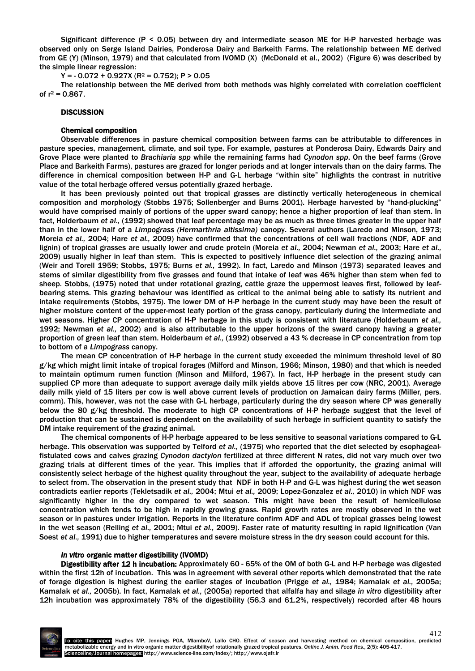Significant difference (P < 0.05) between dry and intermediate season ME for H-P harvested herbage was observed only on Serge Island Dairies, Ponderosa Dairy and Barkeith Farms. The relationship between ME derived from GE (Y) (Minson, 1979) and that calculated from IVOMD (X) (McDonald et al., 2002) (Figure 6) was described by the simple linear regression:

 $Y = -0.072 + 0.927X$  (R<sup>2</sup> = 0.752); P > 0.05

The relationship between the ME derived from both methods was highly correlated with correlation coefficient of  $r^2 = 0.867$ .

# **DISCUSSION**

# Chemical composition

Observable differences in pasture chemical composition between farms can be attributable to differences in pasture species, management, climate, and soil type. For example, pastures at Ponderosa Dairy, Edwards Dairy and Grove Place were planted to *Brachiaria spp* while the remaining farms had *Cynodon spp*. On the beef farms (Grove Place and Barkeith Farms), pastures are grazed for longer periods and at longer intervals than on the dairy farms. The difference in chemical composition between H-P and G-L herbage "within site" highlights the contrast in nutritive value of the total herbage offered versus potentially grazed herbage.

It has been previously pointed out that tropical grasses are distinctly vertically heterogeneous in chemical composition and morphology (Stobbs 1975; Sollenberger and Burns 2001). Herbage harvested by "hand-plucking" would have comprised mainly of portions of the upper sward canopy; hence a higher proportion of leaf than stem. In fact, Holderbaum *et al.,* (1992) showed that leaf percentage may be as much as three times greater in the upper half than in the lower half of a *Limpograss (Hermarthria altissima)* canopy. Several authors (Laredo and Minson, 1973; Moreia *et al.,* 2004; Hare *et al.,* 2009) have confirmed that the concentrations of cell wall fractions (NDF, ADF and lignin) of tropical grasses are usually lower and crude protein (Moreia *et al.,* 2004; Newman *et al.,* 2003; Hare *et al.,*  2009) usually higher in leaf than stem. This is expected to positively influence diet selection of the grazing animal (Weir and Torell 1959; Stobbs, 1975; Burns *et al.,* 1992). In fact, Laredo and Minson (1973) separated leaves and stems of similar digestibility from five grasses and found that intake of leaf was 46% higher than stem when fed to sheep. Stobbs, (1975) noted that under rotational grazing, cattle graze the uppermost leaves first, followed by leafbearing stems. This grazing behaviour was identified as critical to the animal being able to satisfy its nutrient and intake requirements (Stobbs, 1975). The lower DM of H-P herbage in the current study may have been the result of higher moisture content of the upper-most leafy portion of the grass canopy, particularly during the intermediate and wet seasons. Higher CP concentration of H-P herbage in this study is consistent with literature (Holderbaum *et al.,* 1992; Newman *et al.,* 2002) and is also attributable to the upper horizons of the sward canopy having a greater proportion of green leaf than stem. Holderbaum *et al.,* (1992) observed a 43 % decrease in CP concentration from top to bottom of a *Limpograss* canopy.

The mean CP concentration of H-P herbage in the current study exceeded the minimum threshold level of 80 g/kg which might limit intake of tropical forages (Milford and Minson, 1966; Minson, 1980) and that which is needed to maintain optimum rumen function (Minson and Milford, 1967). In fact, H-P herbage in the present study can supplied CP more than adequate to support average daily milk yields above 15 litres per cow (NRC, 2001). Average daily milk yield of 15 liters per cow is well above current levels of production on Jamaican dairy farms (Miller, pers. comm). This, however, was not the case with G-L herbage, particularly during the dry season where CP was generally below the 80 g/kg threshold. The moderate to high CP concentrations of H-P herbage suggest that the level of production that can be sustained is dependent on the availability of such herbage in sufficient quantity to satisfy the DM intake requirement of the grazing animal.

The chemical components of H-P herbage appeared to be less sensitive to seasonal variations compared to G-L herbage. This observation was supported by Telford *et al.,* (1975) who reported that the diet selected by esophagealfistulated cows and calves grazing *Cynodon dactylon* fertilized at three different N rates, did not vary much over two grazing trials at different times of the year. This implies that if afforded the opportunity, the grazing animal will consistently select herbage of the highest quality throughout the year, subject to the availability of adequate herbage to select from. The observation in the present study that NDF in both H-P and G-L was highest during the wet season contradicts earlier reports (Tekletsadik *et al.,* 2004; Mtui *et al.,* 2009; Lopez-Gonzalez *et al.,* 2010) in which NDF was significantly higher in the dry compared to wet season. This might have been the result of hemicellulose concentration which tends to be high in rapidly growing grass. Rapid growth rates are mostly observed in the wet season or in pastures under irrigation. Reports in the literature confirm ADF and ADL of tropical grasses being lowest in the wet season (Relling *et al.,* 2001; Mtui *et al.,* 2009). Faster rate of maturity resulting in rapid lignification (Van Soest *et al.,* 1991) due to higher temperatures and severe moisture stress in the dry season could account for this.

# *In vitro* organic matter digestibility (IVOMD)

Digestibility after 12 h incubation: Approximately 60 - 65% of the OM of both G-L and H-P herbage was digested within the first 12h of incubation. This was in agreement with several other reports which demonstrated that the rate of forage digestion is highest during the earlier stages of incubation (Prigge *et al.,* 1984; Kamalak *et al.,* 2005a; Kamalak *et al.,* 2005b). In fact, Kamalak *et al.,* (2005a) reported that alfalfa hay and silage *in vitro* digestibility after 12h incubation was approximately 78% of the digestibility (56.3 and 61.2%, respectively) recorded after 48 hours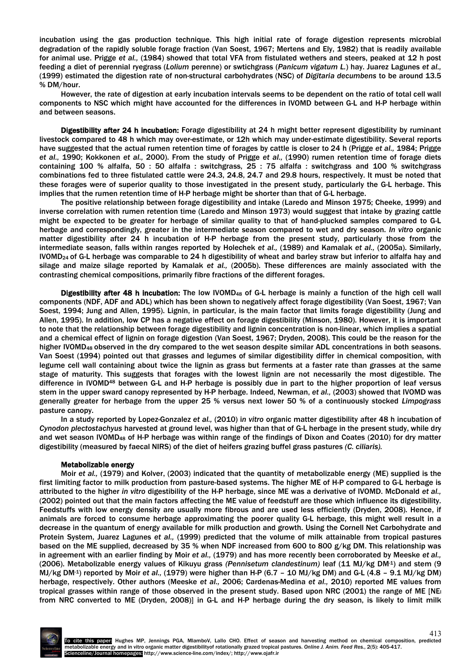incubation using the gas production technique. This high initial rate of forage digestion represents microbial degradation of the rapidly soluble forage fraction (Van Soest, 1967; Mertens and Ely, 1982) that is readily available for animal use. Prigge *et al.,* (1984) showed that total VFA from fistulated wethers and steers, peaked at 12 h post feeding a diet of perennial ryegrass (*Lolium* perenne) or swtichgrass (*Panicum vigatum L.*) hay. Juarez Lagunes *et al.,* (1999) estimated the digestion rate of non-structural carbohydrates (NSC) of *Digitaria decumbens* to be around 13.5 % DM/hour.

However, the rate of digestion at early incubation intervals seems to be dependent on the ratio of total cell wall components to NSC which might have accounted for the differences in IVOMD between G-L and H-P herbage within and between seasons.

Digestibility after 24 h incubation: Forage digestibility at 24 h might better represent digestibility by ruminant livestock compared to 48 h which may over-estimate, or 12h which may under-estimate digestibility. Several reports have suggested that the actual rumen retention time of forages by cattle is closer to 24 h (Prigge *et al.,* 1984; Prigge *et al.,* 1990; Kokkonen *et al.,* 2000). From the study of Prigge *et al.,* (1990) rumen retention time of forage diets containing 100 % alfalfa, 50 : 50 alfalfa : switchgrass, 25 : 75 alfalfa : switchgrass and 100 % switchgrass combinations fed to three fistulated cattle were 24.3, 24.8, 24.7 and 29.8 hours, respectively. It must be noted that these forages were of superior quality to those investigated in the present study, particularly the G-L herbage. This implies that the rumen retention time of H-P herbage might be shorter than that of G-L herbage.

The positive relationship between forage digestibility and intake (Laredo and Minson 1975; Cheeke, 1999) and inverse correlation with rumen retention time (Laredo and Minson 1973) would suggest that intake by grazing cattle might be expected to be greater for herbage of similar quality to that of hand-plucked samples compared to G-L herbage and correspondingly, greater in the intermediate season compared to wet and dry season. *In vitro* organic matter digestibility after 24 h incubation of H-P herbage from the present study, particularly those from the intermediate season, falls within ranges reported by Holechek *et al.,* (1989) and Kamalak *et al.,* (2005a). Similarly, IVOMD24 of G-L herbage was comparable to 24 h digestibility of wheat and barley straw but inferior to alfalfa hay and silage and maize silage reported by Kamalak *et al.,* (2005b). These differences are mainly associated with the contrasting chemical compositions, primarily fibre fractions of the different forages.

Digestibility after 48 h incubation: The low IVOMD<sub>48</sub> of G-L herbage is mainly a function of the high cell wall components (NDF, ADF and ADL) which has been shown to negatively affect forage digestibility (Van Soest, 1967; Van Soest, 1994; Jung and Allen, 1995). Lignin, in particular, is the main factor that limits forage digestibility (Jung and Allen, 1995). In addition, low CP has a negative effect on forage digestibility (Minson, 1980). However, it is important to note that the relationship between forage digestibility and lignin concentration is non-linear, which implies a spatial and a chemical effect of lignin on forage digestion (Van Soest, 1967; Dryden, 2008). This could be the reason for the higher IVOMD<sub>48</sub> observed in the dry compared to the wet season despite similar ADL concentrations in both seasons. Van Soest (1994) pointed out that grasses and legumes of similar digestibility differ in chemical composition, with legume cell wall containing about twice the lignin as grass but ferments at a faster rate than grasses at the same stage of maturity. This suggests that forages with the lowest lignin are not necessarily the most digestible. The difference in IVOMD48 between G-L and H-P herbage is possibly due in part to the higher proportion of leaf versus stem in the upper sward canopy represented by H-P herbage. Indeed, Newman, *et al.,* (2003) showed that IVOMD was generally greater for herbage from the upper 25 % versus next lower 50 % of a continuously stocked *Limpograss* pasture canopy.

In a study reported by Lopez-Gonzalez *et al.,* (2010) i*n vitro* organic matter digestibility after 48 h incubation of *Cynodon plectostachyus* harvested at ground level, was higher than that of G-L herbage in the present study, while dry and wet season IVOMD48 of H-P herbage was within range of the findings of Dixon and Coates (2010) for dry matter digestibility (measured by faecal NIRS) of the diet of heifers grazing buffel grass pastures *(C. ciliaris).*

#### Metabolizable energy

Moir *et al.,* (1979) and Kolver, (2003) indicated that the quantity of metabolizable energy (ME) supplied is the first limiting factor to milk production from pasture-based systems. The higher ME of H-P compared to G-L herbage is attributed to the higher *in vitro* digestibility of the H-P herbage, since ME was a derivative of IVOMD. McDonald *et al.,* (2002) pointed out that the main factors affecting the ME value of feedstuff are those which influence its digestibility. Feedstuffs with low energy density are usually more fibrous and are used less efficiently (Dryden, 2008). Hence, if animals are forced to consume herbage approximating the poorer quality G-L herbage, this might well result in a decrease in the quantum of energy available for milk production and growth. Using the Cornell Net Carbohydrate and Protein System, Juarez Lagunes *et al.,* (1999) predicted that the volume of milk attainable from tropical pastures based on the ME supplied, decreased by 35 % when NDF increased from 600 to 800 g/kg DM. This relationship was in agreement with an earlier finding by Moir *et al.,* (1979) and has more recently been corroborated by Meeske *et al.,* (2006). Metabolizable energy values of Kikuyu grass *(Pennisetum clandestinum)* leaf (11 MJ/kg DM-1) and stem (9 MJ/kg DM-1) reported by Moir *et al.,* (1979) were higher than H-P (6.7 – 10 MJ/kg DM) and G-L (4.8 – 9.1 MJ/kg DM) herbage, respectively. Other authors (Meeske *et al.,* 2006; Cardenas-Medina *et al.,* 2010) reported ME values from tropical grasses within range of those observed in the present study. Based upon NRC (2001) the range of ME [NEl from NRC converted to ME (Dryden, 2008)] in G-L and H-P herbage during the dry season, is likely to limit milk

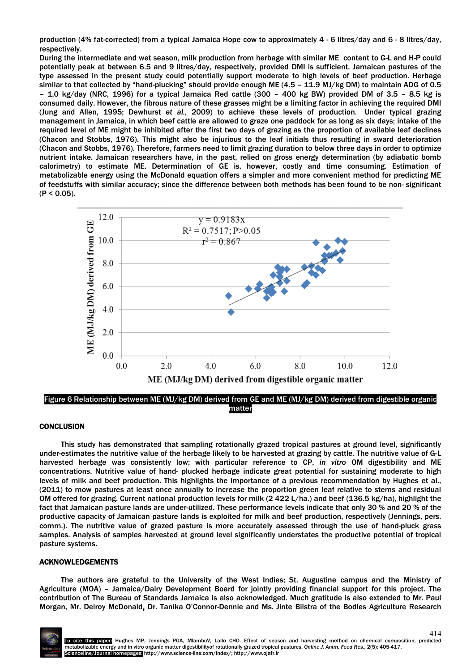production (4% fat-corrected) from a typical Jamaica Hope cow to approximately 4 - 6 litres/day and 6 - 8 litres/day, respectively.

During the intermediate and wet season, milk production from herbage with similar ME content to G-L and H-P could potentially peak at between 6.5 and 9 litres/day, respectively, provided DMI is sufficient. Jamaican pastures of the type assessed in the present study could potentially support moderate to high levels of beef production. Herbage similar to that collected by "hand-plucking" should provide enough ME (4.5 - 11.9 MJ/kg DM) to maintain ADG of 0.5 – 1.0 kg/day (NRC, 1996) for a typical Jamaica Red cattle (300 – 400 kg BW) provided DM of 3.5 – 8.5 kg is consumed daily. However, the fibrous nature of these grasses might be a limiting factor in achieving the required DMI (Jung and Allen, 1995; Dewhurst *et al.,* 2009) to achieve these levels of production. Under typical grazing management in Jamaica, in which beef cattle are allowed to graze one paddock for as long as six days; intake of the required level of ME might be inhibited after the first two days of grazing as the proportion of available leaf declines (Chacon and Stobbs, 1976). This might also be injurious to the leaf initials thus resulting in sward deterioration (Chacon and Stobbs, 1976). Therefore, farmers need to limit grazing duration to below three days in order to optimize nutrient intake. Jamaican researchers have, in the past, relied on gross energy determination (by adiabatic bomb calorimetry) to estimate ME. Determination of GE is, however, costly and time consuming. Estimation of metabolizable energy using the McDonald equation offers a simpler and more convenient method for predicting ME of feedstuffs with similar accuracy; since the difference between both methods has been found to be non- significant  $(P < 0.05)$ .



Figure 6 Relationship between ME (MJ/kg DM) derived from GE and ME (MJ/kg DM) derived from digestible organic matter

# **CONCLUSION**

This study has demonstrated that sampling rotationally grazed tropical pastures at ground level, significantly under-estimates the nutritive value of the herbage likely to be harvested at grazing by cattle. The nutritive value of G-L harvested herbage was consistently low; with particular reference to CP, *in vitro* OM digestibility and ME concentrations. Nutritive value of hand- plucked herbage indicate great potential for sustaining moderate to high levels of milk and beef production. This highlights the importance of a previous recommendation by Hughes et al., (2011) to mow pastures at least once annually to increase the proportion green leaf relative to stems and residual OM offered for grazing. Current national production levels for milk (2 422 L/ha.) and beef (136.5 kg/ha), highlight the fact that Jamaican pasture lands are under-utilized. These performance levels indicate that only 30 % and 20 % of the productive capacity of Jamaican pasture lands is exploited for milk and beef production, respectively (Jennings, pers. comm.). The nutritive value of grazed pasture is more accurately assessed through the use of hand-pluck grass samples. Analysis of samples harvested at ground level significantly understates the productive potential of tropical pasture systems.

## ACKNOWLEDGEMENTS

The authors are grateful to the University of the West Indies; St. Augustine campus and the Ministry of Agriculture (MOA) – Jamaica/Dairy Development Board for jointly providing financial support for this project. The contribution of The Bureau of Standards Jamaica is also acknowledged. Much gratitude is also extended to Mr. Paul Morgan, Mr. Delroy McDonald, Dr. Tanika O'Connor-Dennie and Ms. Jinte Bilstra of the Bodles Agriculture Research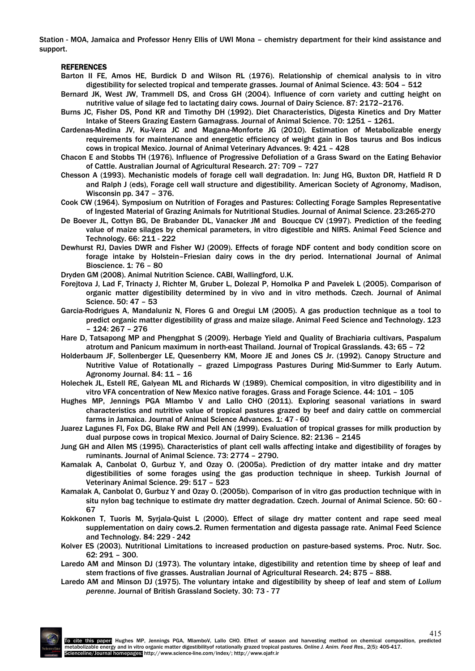Station - MOA, Jamaica and Professor Henry Ellis of UWI Mona – chemistry department for their kind assistance and support.

# REFERENCES

- Barton II FE, Amos HE, Burdick D and Wilson RL (1976). Relationship of chemical analysis to in vitro digestibility for selected tropical and temperate grasses. Journal of Animal Science. 43: 504 – 512
- Bernard JK, West JW, Trammell DS, and Cross GH (2004). Influence of corn variety and cutting height on nutritive value of silage fed to lactating dairy cows. Journal of Dairy Science. 87: 2172–2176.
- Burns JC, Fisher DS, Pond KR and Timothy DH (1992). Diet Characteristics, Digesta Kinetics and Dry Matter Intake of Steers Grazing Eastern Gamagrass. Journal of Animal Science. 70: 1251 – 1261.
- Cardenas-Medina JV, Ku-Vera JC and Magana-Monforte JG (2010). Estimation of Metabolizable energy requirements for maintenance and energetic efficiency of weight gain in Bos taurus and Bos indicus cows in tropical Mexico. Journal of Animal Veterinary Advances. 9: 421 – 428
- Chacon E and Stobbs TH (1976). Influence of Progressive Defoliation of a Grass Sward on the Eating Behavior of Cattle. Australian Journal of Agricultural Research. 27: 709 – 727
- Chesson A (1993). Mechanistic models of forage cell wall degradation. In: Jung HG, Buxton DR, Hatfield R D and Ralph J (eds), Forage cell wall structure and digestibility. American Society of Agronomy, Madison, Wisconsin pp. 347 – 376.
- Cook CW (1964). Symposium on Nutrition of Forages and Pastures: Collecting Forage Samples Representative of Ingested Material of Grazing Animals for Nutritional Studies. Journal of Animal Science. 23:265-270
- De Boever JL, Cottyn BG, De Brabander DL, Vanacker JM and Boucque CV (1997). Prediction of the feeding value of maize silages by chemical parameters, in vitro digestible and NIRS. Animal Feed Science and Technology. 66: 211 - 222
- Dewhurst RJ, Davies DWR and Fisher WJ (2009). Effects of forage NDF content and body condition score on forage intake by Holstein–Friesian dairy cows in the dry period. International Journal of Animal Bioscience. 1: 76 – 80
- Dryden GM (2008). Animal Nutrition Science. CABI, Wallingford, U.K.
- Forejtova J, Lad F, Trinacty J, Richter M, Gruber L, Dolezal P, Homolka P and Pavelek L (2005). Comparison of organic matter digestibility determined by in vivo and in vitro methods. Czech. Journal of Animal Science. 50: 47 – 53
- Garcia-Rodrigues A, Mandaluniz N, Flores G and Oregui LM (2005). A gas production technique as a tool to predict organic matter digestibility of grass and maize silage. Animal Feed Science and Technology. 123 – 124: 267 – 276
- Hare D, Tatsapong MP and Phengphat S (2009). Herbage Yield and Quality of Brachiaria cultivars, Paspalum atrotum and Panicum maximum in north-east Thailand. Journal of Tropical Grasslands. 43: 65 – 72
- Holderbaum JF, Sollenberger LE, Quesenberry KM, Moore JE and Jones CS Jr. (1992). Canopy Structure and Nutritive Value of Rotationally – grazed Limpograss Pastures During Mid-Summer to Early Autum. Agronomy Journal. 84: 11 – 16
- Holechek JL, Estell RE, Galyean ML and Richards W (1989). Chemical composition, in vitro digestibility and in vitro VFA concentration of New Mexico native forages. Grass and Forage Science. 44: 101 – 105
- Hughes MP, Jennings PGA Mlambo V and Lallo CHO (2011). Exploring seasonal variations in sward characteristics and nutritive value of tropical pastures grazed by beef and dairy cattle on commercial farms in Jamaica. Journal of Animal Science Advances. 1: 47 - 60
- Juarez Lagunes FI, Fox DG, Blake RW and Pell AN (1999). Evaluation of tropical grasses for milk production by dual purpose cows in tropical Mexico. Journal of Dairy Science. 82: 2136 – 2145
- Jung GH and Allen MS (1995). Characteristics of plant cell walls affecting intake and digestibility of forages by ruminants. Journal of Animal Science. 73: 2774 – 2790.
- Kamalak A, Canbolat O, Gurbuz Y, and Ozay O. (2005a). Prediction of dry matter intake and dry matter digestibilities of some forages using the gas production technique in sheep. Turkish Journal of Veterinary Animal Science. 29: 517 – 523
- Kamalak A, Canbolat O, Gurbuz Y and Ozay O. (2005b). Comparison of in vitro gas production technique with in situ nylon bag technique to estimate dry matter degradation. Czech. Journal of Animal Science. 50: 60 - 67
- Kokkonen T, Tuoris M, Syrjala-Quist L (2000). Effect of silage dry matter content and rape seed meal supplementation on dairy cows.2. Rumen fermentation and digesta passage rate. Animal Feed Science and Technology. 84: 229 - 242
- Kolver ES (2003). Nutritional Limitations to increased production on pasture-based systems. Proc. Nutr. Soc. 62: 291 – 300.
- Laredo AM and Minson DJ (1973). The voluntary intake, digestibility and retention time by sheep of leaf and stem fractions of five grasses. Australian Journal of Agricultural Research. 24: 875 – 888.
- Laredo AM and Minson DJ (1975). The voluntary intake and digestibility by sheep of leaf and stem of *Lolium perenne*. Journal of British Grassland Society. 30: 73 - 77

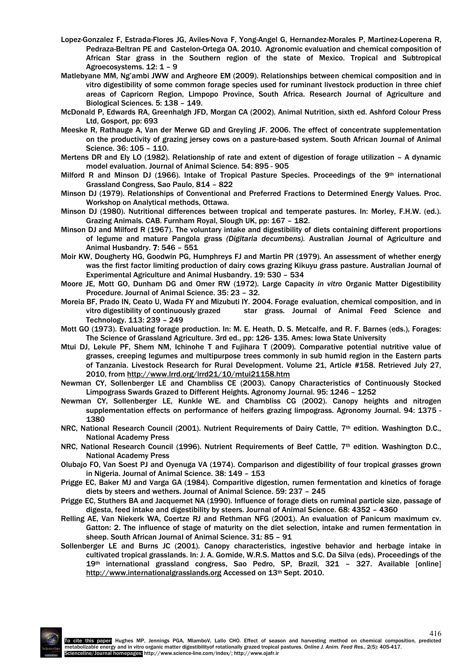- Lopez-Gonzalez F, Estrada-Flores JG, Aviles-Nova F, Yong-Angel G, Hernandez-Morales P, Martinez-Loperena R, Pedraza-Beltran PE and Castelon-Ortega OA. 2010. Agronomic evaluation and chemical composition of African Star grass in the Southern region of the state of Mexico. Tropical and Subtropical Agroecosystems. 12: 1 – 9
- Matlebyane MM, Ng'ambi JWW and Argheore EM (2009). Relationships between chemical composition and in vitro digestibility of some common forage species used for ruminant livestock production in three chief areas of Capricorn Region, Limpopo Province, South Africa. Research Journal of Agriculture and Biological Sciences. 5: 138 – 149.
- McDonald P, Edwards RA, Greenhalgh JFD, Morgan CA (2002). Animal Nutrition, sixth ed. Ashford Colour Press Ltd, Gosport, pp: 693
- Meeske R, Rathauge A, Van der Merwe GD and Greyling JF. 2006. The effect of concentrate supplementation on the productivity of grazing jersey cows on a pasture-based system. South African Journal of Animal Science. 36: 105 – 110.
- Mertens DR and Ely LO (1982). Relationship of rate and extent of digestion of forage utilization A dynamic model evaluation. Journal of Animal Science. 54: 895 - 905
- Milford R and Minson DJ (1966). Intake of Tropical Pasture Species. Proceedings of the 9th international Grassland Congress, Sao Paulo, 814 – 822
- Minson DJ (1979). Relationships of Conventional and Preferred Fractions to Determined Energy Values. Proc. Workshop on Analytical methods, Ottawa.
- Minson DJ (1980). Nutritional differences between tropical and temperate pastures. In: Morley, F.H.W. (ed.). Grazing Animals. CAB. Furnham Royal, Slough UK, pp: 167 – 182.
- Minson DJ and Milford R (1967). The voluntary intake and digestibility of diets containing different proportions of legume and mature Pangola grass *(Digitaria decumbens).* Australian Journal of Agriculture and Animal Husbandry. 7: 546 – 551
- Moir KW, Dougherty HG, Goodwin PG, Humphreys FJ and Martin PR (1979). An assessment of whether energy was the first factor limiting production of dairy cows grazing Kikuyu grass pasture. Australian Journal of Experimental Agriculture and Animal Husbandry. 19: 530 – 534
- Moore JE, Mott GO, Dunham DG and Omer RW (1972). Large Capacity *in vitro* Organic Matter Digestibility Procedure. Journal of Animal Science. 35: 23 – 32.
- Moreia BF, Prado IN, Ceato U, Wada FY and Mizubuti IY. 2004. Forage evaluation, chemical composition, and in vitro digestibility of continuously grazed star grass. Journal of Animal Feed Science and Technology. 113: 239 – 249
- Mott GO (1973). Evaluating forage production. In: M. E. Heath, D. S. Metcalfe, and R. F. Barnes (eds.), Forages: The Science of Grassland Agriculture. 3rd ed., pp: 126- 135. Ames: Iowa State University
- Mtui DJ, Lekule PF, Shem NM, Ichinohe T and Fujihara T (2009). Comparative potential nutritive value of grasses, creeping legumes and multipurpose trees commonly in sub humid region in the Eastern parts of Tanzania. Livestock Research for Rural Development. Volume 21, Article #158. Retrieved July 27, 2010, from http://www.lrrd.org/lrrd21/10/mtui21158.htm
- Newman CY, Sollenberger LE and Chambliss CE (2003). Canopy Characteristics of Continuously Stocked Limpograss Swards Grazed to Different Heights. Agronomy Journal. 95: 1246 – 1252
- Newman CY, Sollenberger LE, Kunkle WE. and Chambliss CG (2002). Canopy heights and nitrogen supplementation effects on performance of heifers grazing limpograss. Agronomy Journal. 94: 1375 - 1380
- NRC, National Research Council (2001). Nutrient Requirements of Dairy Cattle, 7th edition. Washington D.C., National Academy Press
- NRC, National Research Council (1996). Nutrient Requirements of Beef Cattle, 7th edition. Washington D.C., National Academy Press
- Olubajo FO, Van Soest PJ and Oyenuga VA (1974). Comparison and digestibility of four tropical grasses grown in Nigeria. Journal of Animal Science. 38: 149 – 153
- Prigge EC, Baker MJ and Varga GA (1984). Comparitive digestion, rumen fermentation and kinetics of forage diets by steers and wethers. Journal of Animal Science. 59: 237 – 245
- Prigge EC, Stuthers BA and Jacquemet NA (1990). Influence of forage diets on ruminal particle size, passage of digesta, feed intake and digestibility by steers. Journal of Animal Science. 68: 4352 – 4360
- Relling AE, Van Niekerk WA, Coertze RJ and Rethman NFG (2001). An evaluation of Panicum maximum cv. Gatton: 2. The influence of stage of maturity on the diet selection, intake and rumen fermentation in sheep. South African Journal of Animal Science. 31: 85 – 91
- Sollenberger LE and Burns JC (2001). Canopy characteristics, ingestive behavior and herbage intake in cultivated tropical grasslands. In: J. A. Gomide, W.R.S. Mattos and S.C. Da Silva (eds). Proceedings of the 19th international grassland congress, Sao Pedro, SP, Brazil, 321 – 327. Available [online] http://www.internationalgrasslands.org Accessed on 13<sup>th</sup> Sept. 2010.